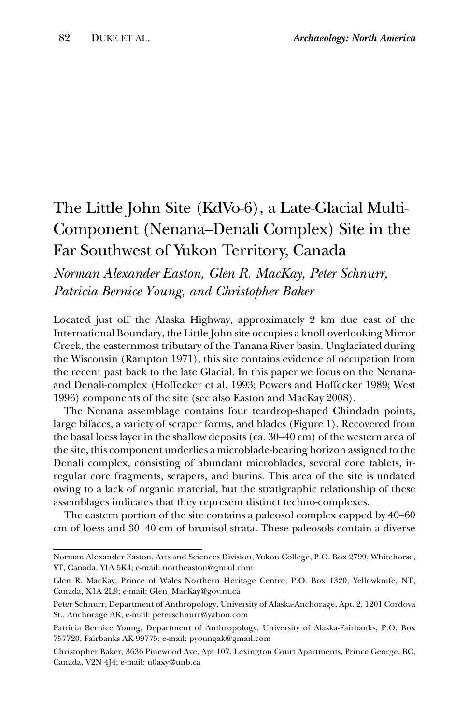## The Little John Site (KdVo-6), a Late-Glacial Multi-Component (Nenana–Denali Complex) Site in the Far Southwest of Yukon Territory, Canada

## *Norman Alexander Easton, Glen R. MacKay, Peter Schnurr, Patricia Bernice Young, and Christopher Baker*

Located just off the Alaska Highway, approximately 2 km due east of the International Boundary, the Little John site occupies a knoll overlooking Mirror Creek, the easternmost tributary of the Tanana River basin. Unglaciated during the Wisconsin (Rampton 1971), this site contains evidence of occupation from the recent past back to the late Glacial. In this paper we focus on the Nenanaand Denali-complex (Hoffecker et al. 1993; Powers and Hoffecker 1989; West 1996) components of the site (see also Easton and MacKay 2008).

The Nenana assemblage contains four teardrop-shaped Chindadn points, large bifaces, a variety of scraper forms, and blades (Figure 1). Recovered from the basal loess layer in the shallow deposits (ca. 30–40 cm) of the western area of the site, this component underlies a microblade-bearing horizon assigned to the Denali complex, consisting of abundant microblades, several core tablets, irregular core fragments, scrapers, and burins. This area of the site is undated owing to a lack of organic material, but the stratigraphic relationship of these assemblages indicates that they represent distinct techno-complexes.

The eastern portion of the site contains a paleosol complex capped by 40–60 cm of loess and 30–40 cm of brunisol strata. These paleosols contain a diverse

Norman Alexander Easton, Arts and Sciences Division, Yukon College, P.O. Box 2799, Whitehorse, YT, Canada, Y1A 5K4; e-mail: northeaston@gmail.com

Glen R. MacKay, Prince of Wales Northern Heritage Centre, P.O. Box 1320, Yellowknife, NT, Canada, X1A 2L9; e-mail: Glen\_MacKay@gov.nt.ca

Peter Schnurr, Department of Anthropology, University of Alaska-Anchorage, Apt. 2, 1201 Cordova St., Anchorage AK; e-mail: peterschnurr@yahoo.com

Patricia Bernice Young, Department of Anthropology, University of Alaska-Fairbanks, P.O. Box 757720, Fairbanks AK 99775; e-mail: pyoungak@gmail.com

Christopher Baker, 3636 Pinewood Ave, Apt 107, Lexington Court Apartments, Prince George, BC, Canada, V2N 4J4; e-mail: u0axy@unb.ca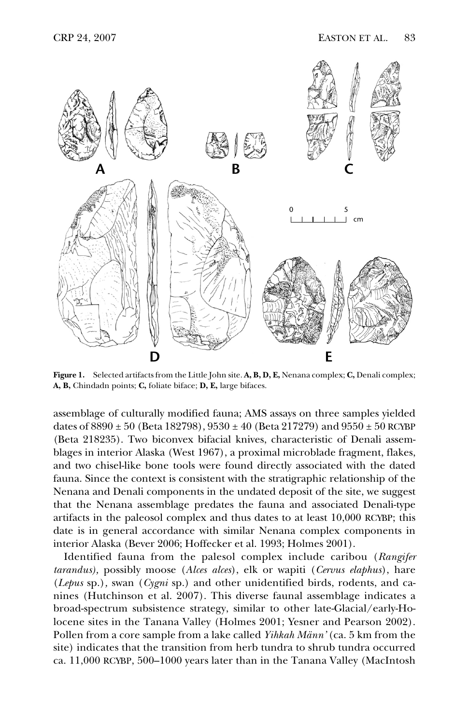

**Figure 1.** Selected artifacts from the Little John site. **A, B, D, E,** Nenana complex; **C,** Denali complex; **A, B,** Chindadn points; **C,** foliate biface; **D, E,** large bifaces.

assemblage of culturally modified fauna; AMS assays on three samples yielded dates of  $8890 \pm 50$  (Beta 182798),  $9530 \pm 40$  (Beta 217279) and  $9550 \pm 50$  RCYBP (Beta 218235). Two biconvex bifacial knives, characteristic of Denali assemblages in interior Alaska (West 1967), a proximal microblade fragment, flakes, and two chisel-like bone tools were found directly associated with the dated fauna. Since the context is consistent with the stratigraphic relationship of the Nenana and Denali components in the undated deposit of the site, we suggest that the Nenana assemblage predates the fauna and associated Denali-type artifacts in the paleosol complex and thus dates to at least 10,000 RCYBP; this date is in general accordance with similar Nenana complex components in interior Alaska (Bever 2006; Hoffecker et al. 1993; Holmes 2001).

Identified fauna from the palesol complex include caribou (*Rangifer tarandus),* possibly moose (*Alces alces*), elk or wapiti (*Cervus elaphus*), hare (*Lepus* sp.)*,* swan (*Cygni* sp.) and other unidentified birds, rodents, and canines (Hutchinson et al. 2007). This diverse faunal assemblage indicates a broad-spectrum subsistence strategy, similar to other late-Glacial/early-Holocene sites in the Tanana Valley (Holmes 2001; Yesner and Pearson 2002). Pollen from a core sample from a lake called *Yihkah Männ'* (ca. 5 km from the site) indicates that the transition from herb tundra to shrub tundra occurred ca. 11,000 RCYBP, 500–1000 years later than in the Tanana Valley (MacIntosh